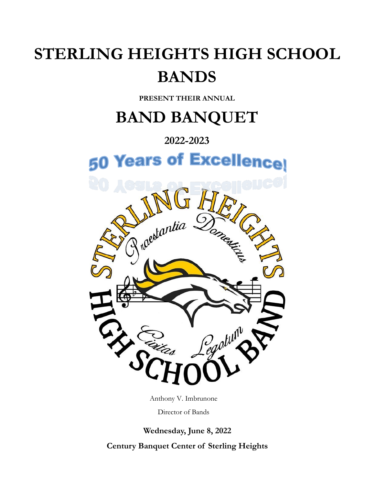# **STERLING HEIGHTS HIGH SCHOOL BANDS**

**PRESENT THEIR ANNUAL**

# **BAND BANQUET**

## **2022-2023**



Anthony V. Imbrunone

Director of Bands

**Wednesday, June 8, 2022**

**Century Banquet Center of Sterling Heights**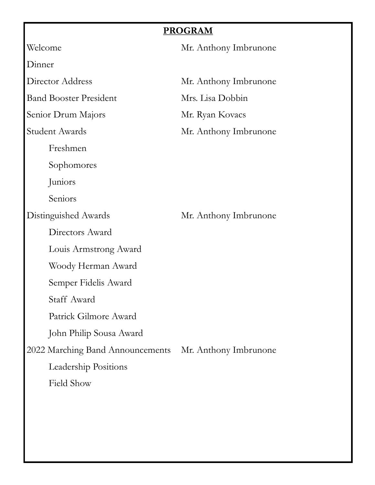## **PROGRAM**

|                                  | PROGRAM               |
|----------------------------------|-----------------------|
| Welcome                          | Mr. Anthony Imbrunone |
| Dinner                           |                       |
| Director Address                 | Mr. Anthony Imbrunone |
| <b>Band Booster President</b>    | Mrs. Lisa Dobbin      |
| Senior Drum Majors               | Mr. Ryan Kovacs       |
| Student Awards                   | Mr. Anthony Imbrunone |
| Freshmen                         |                       |
| Sophomores                       |                       |
| Juniors                          |                       |
| Seniors                          |                       |
| Distinguished Awards             | Mr. Anthony Imbrunone |
| Directors Award                  |                       |
| Louis Armstrong Award            |                       |
| Woody Herman Award               |                       |
| Semper Fidelis Award             |                       |
| Staff Award                      |                       |
| Patrick Gilmore Award            |                       |
| John Philip Sousa Award          |                       |
| 2022 Marching Band Announcements | Mr. Anthony Imbrunone |
| <b>Leadership Positions</b>      |                       |
| Field Show                       |                       |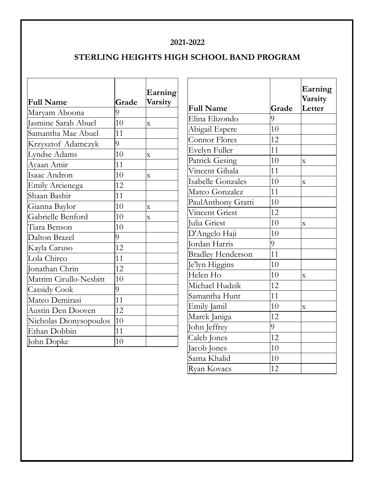#### **2021-2022**

### **STERLING HEIGHTS HIGH SCHOOL BAND PROGRAM**

|                            |       | Earning                 |
|----------------------------|-------|-------------------------|
| <b>Full Name</b>           | Grade | Varsity                 |
| Maryam Aboona              | 9     |                         |
| <b>Jasmine Sarah Abuel</b> | 10    | $\overline{\mathbf{X}}$ |
| Samantha Mae Abuel         | 11    |                         |
| Krzysztof Adamczyk         | 9     |                         |
| Lyndse Adams               | 10    | $\mathbf x$             |
| Ayaan Amir                 | 11    |                         |
| Isaac Andron               | 10    | X                       |
| Emily Arcienega            | 12    |                         |
| Shaan Bashir               | 11    |                         |
| Gianna Baylor              | 10    | $\overline{\mathbf{x}}$ |
| Gabrielle Benford          | 10    | X                       |
| Tiara Benson               | 10    |                         |
| Dalton Brazel              | 9     |                         |
| Kayla Caruso               | 12    |                         |
| Lola Chirco                | 11    |                         |
| Jonathan Chrin             | 12    |                         |
| Matrim Cirullo-Nesbitt     | 10    |                         |
| <b>Cassidy Cook</b>        | 9     |                         |
| Mateo Demirasi             | 11    |                         |
| Austin Den Dooven          | 12    |                         |
| Nicholas Dionysopoulos     | 10    |                         |
| Ethan Dobbin               | 11    |                         |
| John Dopke                 | 10    |                         |

| <b>Full Name</b>         | Grade | Earning<br>Varsity<br>Letter |
|--------------------------|-------|------------------------------|
| Elina Elizondo           | 9     |                              |
|                          | 10    |                              |
| Abigail Espere           |       |                              |
| <b>Connor Flores</b>     | 12    |                              |
| Evelyn Fuller            | 11    |                              |
| <b>Patrick Gesing</b>    | 10    | $\overline{X}$               |
| Vincent Gibala           | 11    |                              |
| <b>Isabelle Gonzales</b> | 10    | $\overline{\textbf{X}}$      |
| Mateo Gonzalez           | 11    |                              |
| PaulAnthony Gratti       | 10    |                              |
| <b>Vincent Griest</b>    | 12    |                              |
| Julia Griest             | 10    | $\mathbf X$                  |
| D'Angelo Haji            | 10    |                              |
| Jordan Harris            | 9     |                              |
| <b>Bradley Henderson</b> | 11    |                              |
| Je'lyn Higgins           | 10    |                              |
| Helen Ho                 | 10    | $\overline{\mathbf{X}}$      |
| Michael Hudzik           | 12    |                              |
| Samantha Hunt            | 11    |                              |
| Emily Jamil              | 10    | $\overline{\text{X}}$        |
| Marek Janiga             | 12    |                              |
| John Jeffrey             | 9     |                              |
| Caleb Jones              | 12    |                              |
| Jacob Jones              | 10    |                              |
| Sama Khalid              | 10    |                              |
| Ryan Kovacs              | 12    |                              |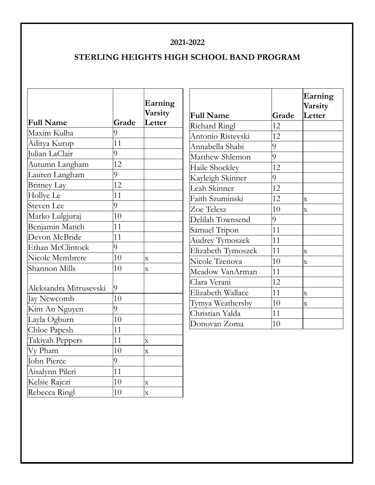#### **2021-2022**

### **STERLING HEIGHTS HIGH SCHOOL BAND PROGRAM**

|                        |       | Earning<br>Varsity      | <b>Full Name</b>       | Grade | Earning<br>Varsity<br>Letter |
|------------------------|-------|-------------------------|------------------------|-------|------------------------------|
| <b>Full Name</b>       | Grade | Letter                  | Richard Ringl          | 12    |                              |
| Maxim Kulha            | 9     |                         | Antonio Ristevski      | 12    |                              |
| Aditya Kurup           | 11    |                         | Annabella Shabi        | 9     |                              |
| Julian LaClair         | 9     |                         | Matthew Shlemon        | 9     |                              |
| Autumn Langham         | 12    |                         | Haile Shockley         | 12    |                              |
| Lauren Langham         | 9     |                         | Kayleigh Skinner       | 9     |                              |
| <b>Britney Lay</b>     | 12    |                         | Leah Skinner           | 12    |                              |
| Hollye Le              | 11    |                         | Faith Szuminski        | 12    | $\mathbf X$                  |
| <b>Steven Lee</b>      | 9     |                         | Zoe Telesz             | 10    | $\mathbf{x}$                 |
| Marko Lulgjuraj        | 10    |                         | Delilah Townsend       | 9     |                              |
| Benjamin Matich        | 11    |                         | Samuel Tripon          | 11    |                              |
| Devon McBride          | 11    |                         | <b>Audrey Tymoszek</b> | 11    |                              |
| Ethan McClintock       | 9     |                         | Elizabeth Tymoszek     | 11    | $\bar{X}$                    |
| Nicole Membrere        | 10    | $\overline{\textbf{X}}$ | Nicole Tzenova         | 10    | $\bar{\mathbf{X}}$           |
| Shannon Mills          | 10    | $\overline{\mathbf{X}}$ | Meadow VanArman        | 11    |                              |
|                        |       |                         | Clara Verani           | 12    |                              |
| Aleksandra Mitrusevski | 9     |                         | Elizabeth Wallace      | 11    | $\bar{X}$                    |
| Jay Newcomb            | 10    |                         | Tymya Weathersby       | 10    | $\overline{\mathbf{X}}$      |
| Kim An Nguyen          | 9     |                         | Christian Yalda        | 11    |                              |
| Layla Ogburn           | 10    |                         | Donovan Zoma           | 10    |                              |
| Chloe Papesh           | 11    |                         |                        |       |                              |
| Takiyah Peppers        | 11    | $\bar{\mathbf{x}}$      |                        |       |                              |
| Vy Pham                | 10    | $\overline{\mathbf{X}}$ |                        |       |                              |
| John Pierce            | 9     |                         |                        |       |                              |
| Aisalynn Pileri        | 11    |                         |                        |       |                              |
| Kelsie Rajczi          | 10    | $\overline{\text{X}}$   |                        |       |                              |
| Rebecca Ringl          | 10    | $\mathbf{x}$            |                        |       |                              |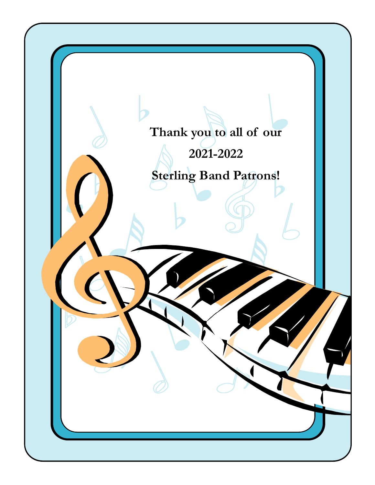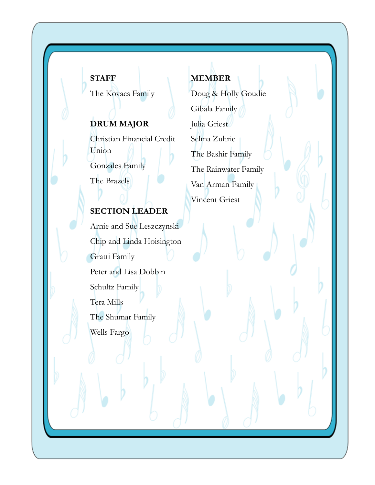### **STAFF**

The Kovacs Family

## **DRUM MAJOR**

Christian Financial Credit Union Gonzales Family

The Brazels

## **SECTION LEADER**

Arnie and Sue Leszczynski Chip and Linda Hoisington Gratti Family Peter and Lisa Dobbin Schultz Family Tera Mills The Shumar Family Wells Fargo

# **MEMBER**

Doug & Holly Goudie Gibala Family Julia Griest Selma Zuhric The Bashir Family The Rainwater Family Van Arman Family Vincent Griest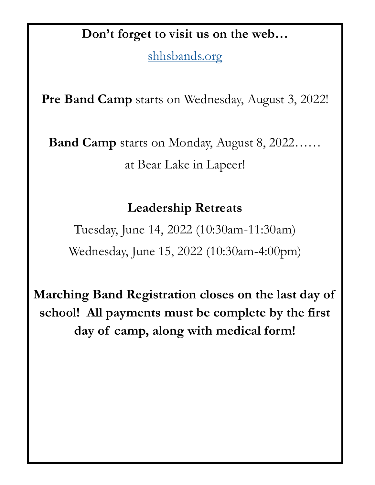# **Don't forget to visit us on the web…**

<shhsbands.org>

**Pre Band Camp** starts on Wednesday, August 3, 2022!

**Band Camp** starts on Monday, August 8, 2022…… at Bear Lake in Lapeer!

## **Leadership Retreats**

Tuesday, June 14, 2022 (10:30am-11:30am) Wednesday, June 15, 2022 (10:30am-4:00pm)

**Marching Band Registration closes on the last day of school! All payments must be complete by the first day of camp, along with medical form!**